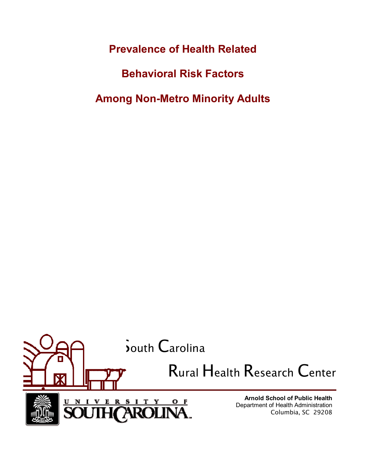**Prevalence of Health Related** 

**Behavioral Risk Factors** 

**Among Non-Metro Minority Adults** 

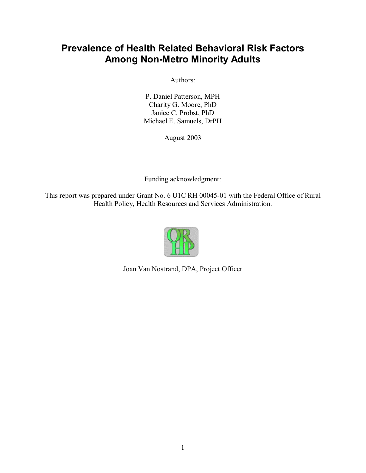# **Prevalence of Health Related Behavioral Risk Factors Among Non-Metro Minority Adults**

Authors:

P. Daniel Patterson, MPH Charity G. Moore, PhD Janice C. Probst, PhD Michael E. Samuels, DrPH

August 2003

Funding acknowledgment:

This report was prepared under Grant No. 6 U1C RH 00045-01 with the Federal Office of Rural Health Policy, Health Resources and Services Administration.



Joan Van Nostrand, DPA, Project Officer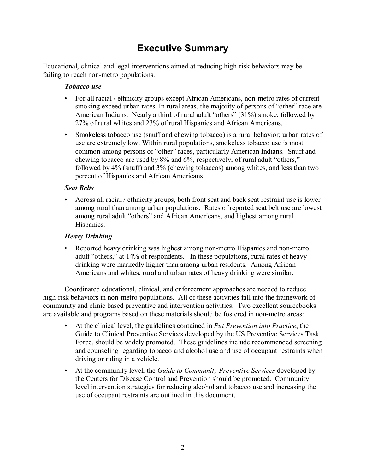# **Executive Summary**

Educational, clinical and legal interventions aimed at reducing high-risk behaviors may be failing to reach non-metro populations.

## *Tobacco use*

- For all racial / ethnicity groups except African Americans, non-metro rates of current smoking exceed urban rates. In rural areas, the majority of persons of "other" race are American Indians. Nearly a third of rural adult "others"  $(31\%)$  smoke, followed by 27% of rural whites and 23% of rural Hispanics and African Americans.
- Smokeless tobacco use (snuff and chewing tobacco) is a rural behavior; urban rates of use are extremely low. Within rural populations, smokeless tobacco use is most common among persons of "other" races, particularly American Indians. Snuff and chewing tobacco are used by  $8\%$  and  $6\%$ , respectively, of rural adult "others," followed by 4% (snuff) and 3% (chewing tobaccos) among whites, and less than two percent of Hispanics and African Americans.

## *Seat Belts*

• Across all racial / ethnicity groups, both front seat and back seat restraint use is lower among rural than among urban populations. Rates of reported seat belt use are lowest among rural adult "others" and African Americans, and highest among rural Hispanics.

## *Heavy Drinking*

Reported heavy drinking was highest among non-metro Hispanics and non-metro adult "others," at 14% of respondents. In these populations, rural rates of heavy drinking were markedly higher than among urban residents. Among African Americans and whites, rural and urban rates of heavy drinking were similar.

Coordinated educational, clinical, and enforcement approaches are needed to reduce high-risk behaviors in non-metro populations. All of these activities fall into the framework of community and clinic based preventive and intervention activities. Two excellent sourcebooks are available and programs based on these materials should be fostered in non-metro areas:

- ï At the clinical level, the guidelines contained in *Put Prevention into Practice*, the Guide to Clinical Preventive Services developed by the US Preventive Services Task Force, should be widely promoted. These guidelines include recommended screening and counseling regarding tobacco and alcohol use and use of occupant restraints when driving or riding in a vehicle.
- ï At the community level, the *Guide to Community Preventive Services* developed by the Centers for Disease Control and Prevention should be promoted. Community level intervention strategies for reducing alcohol and tobacco use and increasing the use of occupant restraints are outlined in this document.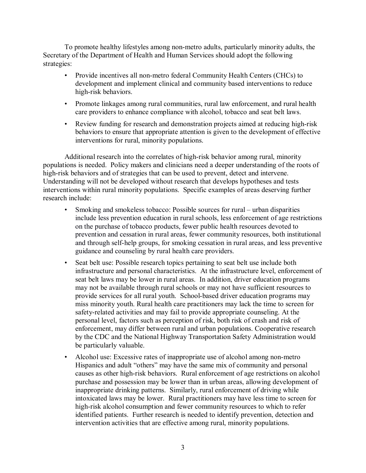To promote healthy lifestyles among non-metro adults, particularly minority adults, the Secretary of the Department of Health and Human Services should adopt the following strategies:

- Provide incentives all non-metro federal Community Health Centers (CHCs) to development and implement clinical and community based interventions to reduce high-risk behaviors.
- Promote linkages among rural communities, rural law enforcement, and rural health care providers to enhance compliance with alcohol, tobacco and seat belt laws.
- Review funding for research and demonstration projects aimed at reducing high-risk behaviors to ensure that appropriate attention is given to the development of effective interventions for rural, minority populations.

Additional research into the correlates of high-risk behavior among rural, minority populations is needed. Policy makers and clinicians need a deeper understanding of the roots of high-risk behaviors and of strategies that can be used to prevent, detect and intervene. Understanding will not be developed without research that develops hypotheses and tests interventions within rural minority populations. Specific examples of areas deserving further research include:

- Smoking and smokeless tobacco: Possible sources for rural urban disparities include less prevention education in rural schools, less enforcement of age restrictions on the purchase of tobacco products, fewer public health resources devoted to prevention and cessation in rural areas, fewer community resources, both institutional and through self-help groups, for smoking cessation in rural areas, and less preventive guidance and counseling by rural health care providers.
- Seat belt use: Possible research topics pertaining to seat belt use include both infrastructure and personal characteristics. At the infrastructure level, enforcement of seat belt laws may be lower in rural areas. In addition, driver education programs may not be available through rural schools or may not have sufficient resources to provide services for all rural youth. School-based driver education programs may miss minority youth. Rural health care practitioners may lack the time to screen for safety-related activities and may fail to provide appropriate counseling. At the personal level, factors such as perception of risk, both risk of crash and risk of enforcement, may differ between rural and urban populations. Cooperative research by the CDC and the National Highway Transportation Safety Administration would be particularly valuable.
- Alcohol use: Excessive rates of inappropriate use of alcohol among non-metro Hispanics and adult "others" may have the same mix of community and personal causes as other high-risk behaviors. Rural enforcement of age restrictions on alcohol purchase and possession may be lower than in urban areas, allowing development of inappropriate drinking patterns. Similarly, rural enforcement of driving while intoxicated laws may be lower. Rural practitioners may have less time to screen for high-risk alcohol consumption and fewer community resources to which to refer identified patients. Further research is needed to identify prevention, detection and intervention activities that are effective among rural, minority populations.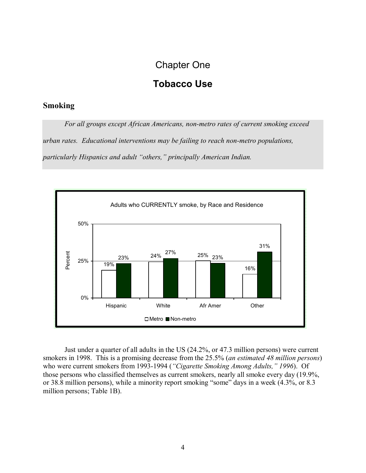# Chapter One

# **Tobacco Use**

## **Smoking**

*For all groups except African Americans, non-metro rates of current smoking exceed urban rates. Educational interventions may be failing to reach non-metro populations,*  particularly Hispanics and adult "others," principally American Indian.



Just under a quarter of all adults in the US (24.2%, or 47.3 million persons) were current smokers in 1998. This is a promising decrease from the 25.5% (*an estimated 48 million persons*) who were current smokers from 1993-1994 (*"Cigarette Smoking Among Adults," 1996*). Of those persons who classified themselves as current smokers, nearly all smoke every day (19.9%, or 38.8 million persons), while a minority report smoking "some" days in a week  $(4.3\%$ , or 8.3 million persons; Table 1B).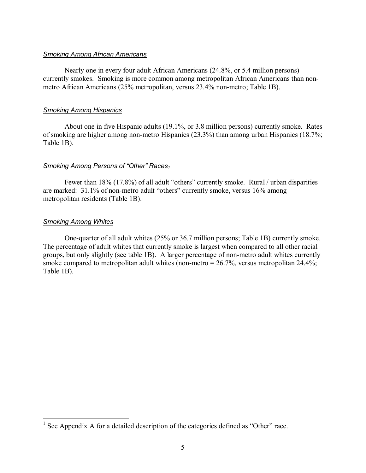## *Smoking Among African Americans*

Nearly one in every four adult African Americans (24.8%, or 5.4 million persons) currently smokes. Smoking is more common among metropolitan African Americans than nonmetro African Americans (25% metropolitan, versus 23.4% non-metro; Table 1B).

## *Smoking Among Hispanics*

About one in five Hispanic adults (19.1%, or 3.8 million persons) currently smoke. Rates of smoking are higher among non-metro Hispanics (23.3%) than among urban Hispanics (18.7%; Table 1B).

## *Smoking Among Persons of "Other" Races*<sup>1</sup>

Fewer than  $18\%$  (17.8%) of all adult "others" currently smoke. Rural / urban disparities are marked:  $31.1\%$  of non-metro adult "others" currently smoke, versus  $16\%$  among metropolitan residents (Table 1B).

## *Smoking Among Whites*

 $\overline{a}$ 

One-quarter of all adult whites (25% or 36.7 million persons; Table 1B) currently smoke. The percentage of adult whites that currently smoke is largest when compared to all other racial groups, but only slightly (see table 1B). A larger percentage of non-metro adult whites currently smoke compared to metropolitan adult whites (non-metro  $= 26.7\%$ , versus metropolitan 24.4%; Table 1B).

<sup>&</sup>lt;sup>1</sup> See Appendix A for a detailed description of the categories defined as "Other" race.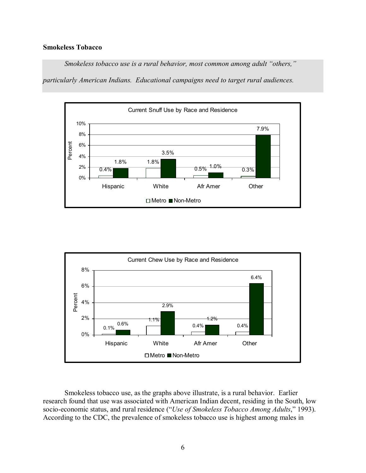## **Smokeless Tobacco**

*Smokeless tobacco use is a rural behavior, most common among adult "others,"* 

*particularly American Indians. Educational campaigns need to target rural audiences.* 





Smokeless tobacco use, as the graphs above illustrate, is a rural behavior. Earlier research found that use was associated with American Indian decent, residing in the South, low socio-economic status, and rural residence ("Use of Smokeless Tobacco Among Adults," 1993). According to the CDC, the prevalence of smokeless tobacco use is highest among males in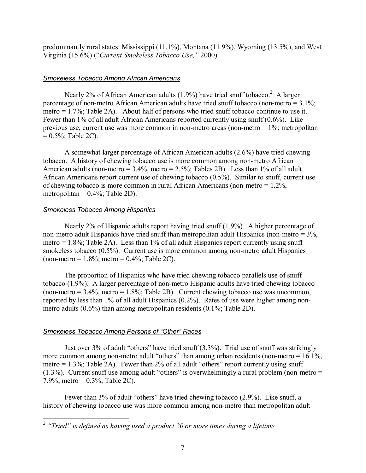predominantly rural states: Mississippi (11.1%), Montana (11.9%), Wyoming (13.5%), and West Virginia (15.6%) ("*Current Smokeless Tobacco Use*," 2000).

### *Smokeless Tobacco Among African Americans*

Nearly 2% of African American adults (1.9%) have tried snuff tobacco.<sup>2</sup> A larger percentage of non-metro African American adults have tried snuff tobacco (non-metro = 3.1%; metro  $= 1.7\%$ ; Table 2A). About half of persons who tried snuff tobacco continue to use it. Fewer than 1% of all adult African Americans reported currently using snuff (0.6%). Like previous use, current use was more common in non-metro areas (non-metro = 1%; metropolitan  $= 0.5\%$ ; Table 2C).

A somewhat larger percentage of African American adults (2.6%) have tried chewing tobacco. A history of chewing tobacco use is more common among non-metro African American adults (non-metro =  $3.4\%$ , metro =  $2.5\%$ ; Tables 2B). Less than 1% of all adult African Americans report current use of chewing tobacco (0.5%). Similar to snuff, current use of chewing tobacco is more common in rural African Americans (non-metro = 1.2%, metropolitan =  $0.4\%$ ; Table 2D).

### *Smokeless Tobacco Among Hispanics*

Nearly 2% of Hispanic adults report having tried snuff (1.9%). A higher percentage of non-metro adult Hispanics have tried snuff than metropolitan adult Hispanics (non-metro = 3%, metro =  $1.8\%$ ; Table 2A). Less than 1% of all adult Hispanics report currently using snuff smokeless tobacco (0.5%). Current use is more common among non-metro adult Hispanics (non-metro =  $1.8\%$ ; metro =  $0.4\%$ ; Table 2C).

The proportion of Hispanics who have tried chewing tobacco parallels use of snuff tobacco (1.9%). A larger percentage of non-metro Hispanic adults have tried chewing tobacco (non-metro  $= 3.4\%$ , metro  $= 1.8\%$ ; Table 2B). Current chewing tobacco use was uncommon, reported by less than 1% of all adult Hispanics (0.2%). Rates of use were higher among nonmetro adults (0.6%) than among metropolitan residents (0.1%; Table 2D).

## *Smokeless Tobacco Among Persons of "Other" Races*

Just over 3% of adult "others" have tried snuff  $(3.3\%)$ . Trial use of snuff was strikingly more common among non-metro adult "others" than among urban residents (non-metro  $= 16.1\%$ , metro =  $1.3\%$ ; Table 2A). Fewer than 2% of all adult "others" report currently using snuff  $(1.3\%)$ . Current snuff use among adult "others" is overwhelmingly a rural problem (non-metro = 7.9%; metro =  $0.3\%$ ; Table 2C).

Fewer than  $3\%$  of adult "others" have tried chewing tobacco (2.9%). Like snuff, a history of chewing tobacco use was more common among non-metro than metropolitan adult

<sup>&</sup>lt;sup>2</sup> "Tried" is defined as having used a product 20 or more times during a lifetime.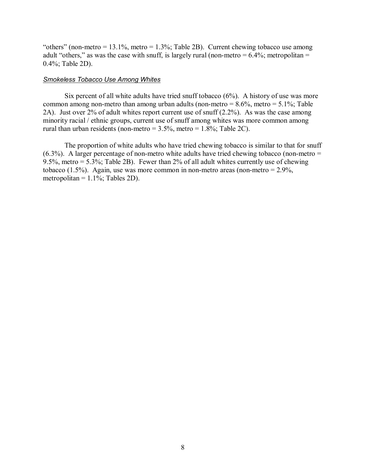"others" (non-metro = 13.1%, metro = 1.3%; Table 2B). Current chewing tobacco use among adult "others," as was the case with snuff, is largely rural (non-metro =  $6.4\%$ ; metropolitan = 0.4%; Table 2D).

#### *Smokeless Tobacco Use Among Whites*

Six percent of all white adults have tried snuff tobacco (6%). A history of use was more common among non-metro than among urban adults (non-metro =  $8.6\%$ , metro =  $5.1\%$ ; Table 2A). Just over 2% of adult whites report current use of snuff (2.2%). As was the case among minority racial / ethnic groups, current use of snuff among whites was more common among rural than urban residents (non-metro =  $3.5\%$ , metro =  $1.8\%$ ; Table 2C).

The proportion of white adults who have tried chewing tobacco is similar to that for snuff  $(6.3\%)$ . A larger percentage of non-metro white adults have tried chewing tobacco (non-metro = 9.5%, metro = 5.3%; Table 2B). Fewer than 2% of all adult whites currently use of chewing tobacco (1.5%). Again, use was more common in non-metro areas (non-metro =  $2.9\%$ , metropolitan =  $1.1\%$ ; Tables 2D).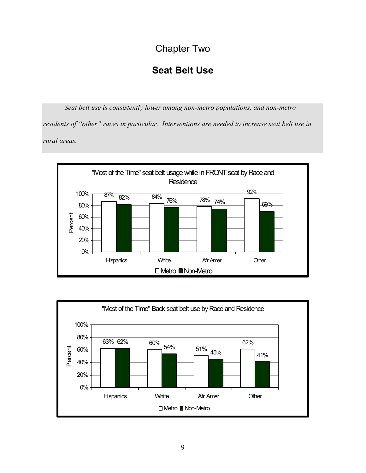# Chapter Two

# **Seat Belt Use**

*Seat belt use is consistently lower among non-metro populations, and non-metro residents of "other" races in particular. Interventions are needed to increase seat belt use in rural areas.* 



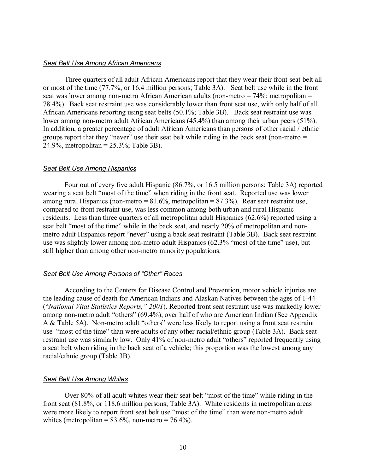#### *Seat Belt Use Among African Americans*

Three quarters of all adult African Americans report that they wear their front seat belt all or most of the time (77.7%, or 16.4 million persons; Table 3A). Seat belt use while in the front seat was lower among non-metro African American adults (non-metro = 74%; metropolitan = 78.4%). Back seat restraint use was considerably lower than front seat use, with only half of all African Americans reporting using seat belts (50.1%; Table 3B). Back seat restraint use was lower among non-metro adult African Americans (45.4%) than among their urban peers (51%). In addition, a greater percentage of adult African Americans than persons of other racial / ethnic groups report that they "never" use their seat belt while riding in the back seat (non-metro  $=$ 24.9%, metropolitan = 25.3%; Table 3B).

#### *Seat Belt Use Among Hispanics*

Four out of every five adult Hispanic (86.7%, or 16.5 million persons; Table 3A) reported wearing a seat belt "most of the time" when riding in the front seat. Reported use was lower among rural Hispanics (non-metro =  $81.6\%$ , metropolitan =  $87.3\%$ ). Rear seat restraint use, compared to front restraint use, was less common among both urban and rural Hispanic residents. Less than three quarters of all metropolitan adult Hispanics (62.6%) reported using a seat belt "most of the time" while in the back seat, and nearly 20% of metropolitan and nonmetro adult Hispanics report "never" using a back seat restraint (Table 3B). Back seat restraint use was slightly lower among non-metro adult Hispanics (62.3% "most of the time" use), but still higher than among other non-metro minority populations.

#### **Seat Belt Use Among Persons of "Other" Races**

According to the Centers for Disease Control and Prevention, motor vehicle injuries are the leading cause of death for American Indians and Alaskan Natives between the ages of 1-44 ("National Vital Statistics Reports," 2001). Reported front seat restraint use was markedly lower among non-metro adult "others" (69.4%), over half of who are American Indian (See Appendix A  $&$  Table 5A). Non-metro adult "others" were less likely to report using a front seat restraint use "most of the time" than were adults of any other racial/ethnic group (Table 3A). Back seat restraint use was similarly low. Only 41% of non-metro adult "others" reported frequently using a seat belt when riding in the back seat of a vehicle; this proportion was the lowest among any racial/ethnic group (Table 3B).

#### *Seat Belt Use Among Whites*

Over 80% of all adult whites wear their seat belt "most of the time" while riding in the front seat (81.8%, or 118.6 million persons; Table 3A). White residents in metropolitan areas were more likely to report front seat belt use "most of the time" than were non-metro adult whites (metropolitan =  $83.6\%$ , non-metro =  $76.4\%$ ).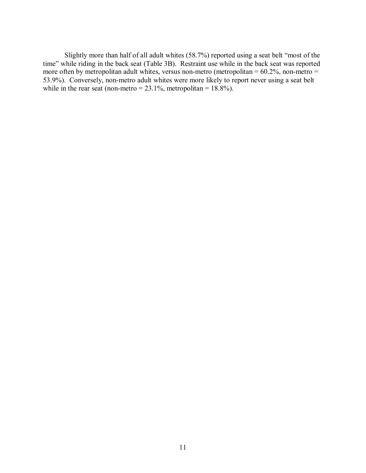Slightly more than half of all adult whites  $(58.7%)$  reported using a seat belt "most of the time" while riding in the back seat (Table 3B). Restraint use while in the back seat was reported more often by metropolitan adult whites, versus non-metro (metropolitan =  $60.2\%$ , non-metro = 53.9%). Conversely, non-metro adult whites were more likely to report never using a seat belt while in the rear seat (non-metro =  $23.1\%$ , metropolitan =  $18.8\%$ ).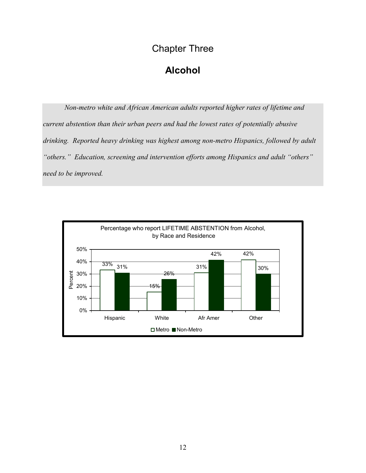# Chapter Three

# **Alcohol**

*Non-metro white and African American adults reported higher rates of lifetime and current abstention than their urban peers and had the lowest rates of potentially abusive drinking. Reported heavy drinking was highest among non-metro Hispanics, followed by adult <sup>1</sup>* others." Education, screening and intervention efforts among Hispanics and adult "others" *need to be improved.* 

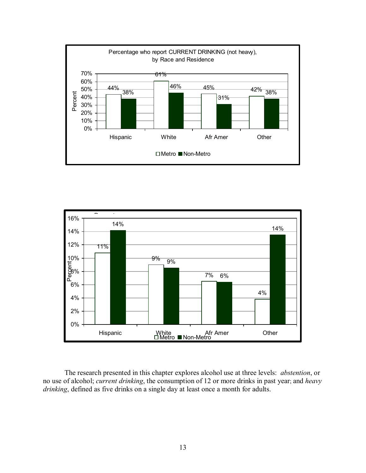



The research presented in this chapter explores alcohol use at three levels: *abstention*, or no use of alcohol; *current drinking*, the consumption of 12 or more drinks in past year; and *heavy drinking*, defined as five drinks on a single day at least once a month for adults.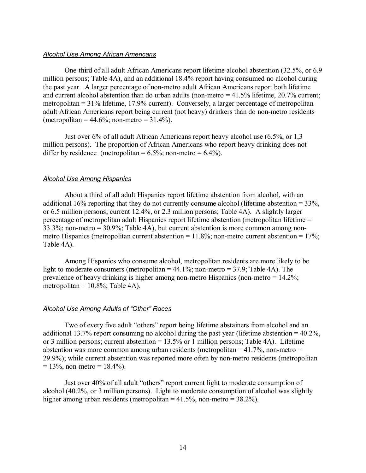### *Alcohol Use Among African Americans*

 One-third of all adult African Americans report lifetime alcohol abstention (32.5%, or 6.9 million persons; Table 4A), and an additional 18.4% report having consumed no alcohol during the past year. A larger percentage of non-metro adult African Americans report both lifetime and current alcohol abstention than do urban adults (non-metro = 41.5% lifetime, 20.7% current; metropolitan = 31% lifetime, 17.9% current). Conversely, a larger percentage of metropolitan adult African Americans report being current (not heavy) drinkers than do non-metro residents (metropolitan =  $44.6\%$ ; non-metro =  $31.4\%$ ).

 Just over 6% of all adult African Americans report heavy alcohol use (6.5%, or 1,3 million persons). The proportion of African Americans who report heavy drinking does not differ by residence (metropolitan =  $6.5\%$ ; non-metro =  $6.4\%$ ).

### *Alcohol Use Among Hispanics*

 About a third of all adult Hispanics report lifetime abstention from alcohol, with an additional 16% reporting that they do not currently consume alcohol (lifetime abstention = 33%, or 6.5 million persons; current 12.4%, or 2.3 million persons; Table 4A). A slightly larger percentage of metropolitan adult Hispanics report lifetime abstention (metropolitan lifetime = 33.3%; non-metro = 30.9%; Table 4A), but current abstention is more common among nonmetro Hispanics (metropolitan current abstention =  $11.8\%$ ; non-metro current abstention =  $17\%$ ; Table 4A).

Among Hispanics who consume alcohol, metropolitan residents are more likely to be light to moderate consumers (metropolitan  $= 44.1\%$ ; non-metro  $= 37.9$ ; Table 4A). The prevalence of heavy drinking is higher among non-metro Hispanics (non-metro = 14.2%; metropolitan =  $10.8\%$ ; Table 4A).

### Alcohol Use Among Adults of "Other" Races

Two of every five adult "others" report being lifetime abstainers from alcohol and an additional 13.7% report consuming no alcohol during the past year (lifetime abstention  $= 40.2\%$ , or 3 million persons; current abstention = 13.5% or 1 million persons; Table 4A). Lifetime abstention was more common among urban residents (metropolitan  $= 41.7\%$ , non-metro  $=$ 29.9%); while current abstention was reported more often by non-metro residents (metropolitan  $= 13\%$ , non-metro  $= 18.4\%$ ).

Just over 40% of all adult "others" report current light to moderate consumption of alcohol (40.2%, or 3 million persons). Light to moderate consumption of alcohol was slightly higher among urban residents (metropolitan  $= 41.5\%$ , non-metro  $= 38.2\%$ ).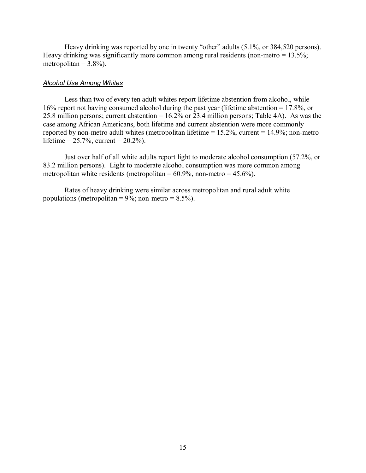Heavy drinking was reported by one in twenty "other" adults  $(5.1\%$ , or 384,520 persons). Heavy drinking was significantly more common among rural residents (non-metro  $= 13.5\%$ ; metropolitan  $= 3.8\%$ ).

#### *Alcohol Use Among Whites*

Less than two of every ten adult whites report lifetime abstention from alcohol, while 16% report not having consumed alcohol during the past year (lifetime abstention = 17.8%, or 25.8 million persons; current abstention = 16.2% or 23.4 million persons; Table 4A). As was the case among African Americans, both lifetime and current abstention were more commonly reported by non-metro adult whites (metropolitan lifetime  $= 15.2\%$ , current  $= 14.9\%$ ; non-metro lifetime =  $25.7\%$ , current =  $20.2\%$ ).

Just over half of all white adults report light to moderate alcohol consumption (57.2%, or 83.2 million persons). Light to moderate alcohol consumption was more common among metropolitan white residents (metropolitan =  $60.9\%$ , non-metro =  $45.6\%$ ).

 Rates of heavy drinking were similar across metropolitan and rural adult white populations (metropolitan =  $9\%$ ; non-metro =  $8.5\%$ ).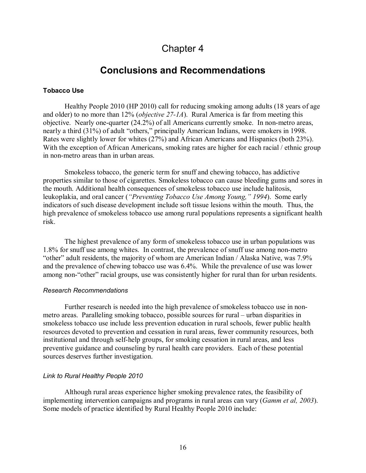# Chapter 4

# **Conclusions and Recommendations**

### **Tobacco Use**

Healthy People 2010 (HP 2010) call for reducing smoking among adults (18 years of age and older) to no more than 12% (*objective 27-1A*). Rural America is far from meeting this objective. Nearly one-quarter (24.2%) of all Americans currently smoke. In non-metro areas, nearly a third (31%) of adult "others," principally American Indians, were smokers in 1998. Rates were slightly lower for whites (27%) and African Americans and Hispanics (both 23%). With the exception of African Americans, smoking rates are higher for each racial / ethnic group in non-metro areas than in urban areas.

Smokeless tobacco, the generic term for snuff and chewing tobacco, has addictive properties similar to those of cigarettes. Smokeless tobacco can cause bleeding gums and sores in the mouth. Additional health consequences of smokeless tobacco use include halitosis, leukoplakia, and oral cancer (*''Preventing Tobacco Use Among Young*, "1994). Some early indicators of such disease development include soft tissue lesions within the mouth. Thus, the high prevalence of smokeless tobacco use among rural populations represents a significant health risk.

The highest prevalence of any form of smokeless tobacco use in urban populations was 1.8% for snuff use among whites. In contrast, the prevalence of snuff use among non-metro "other" adult residents, the majority of whom are American Indian / Alaska Native, was 7.9% and the prevalence of chewing tobacco use was 6.4%. While the prevalence of use was lower among non-"other" racial groups, use was consistently higher for rural than for urban residents.

### *Research Recommendations*

Further research is needed into the high prevalence of smokeless tobacco use in nonmetro areas. Paralleling smoking tobacco, possible sources for rural – urban disparities in smokeless tobacco use include less prevention education in rural schools, fewer public health resources devoted to prevention and cessation in rural areas, fewer community resources, both institutional and through self-help groups, for smoking cessation in rural areas, and less preventive guidance and counseling by rural health care providers. Each of these potential sources deserves further investigation.

## *Link to Rural Healthy People 2010*

Although rural areas experience higher smoking prevalence rates, the feasibility of implementing intervention campaigns and programs in rural areas can vary (*Gamm et al, 2003*). Some models of practice identified by Rural Healthy People 2010 include: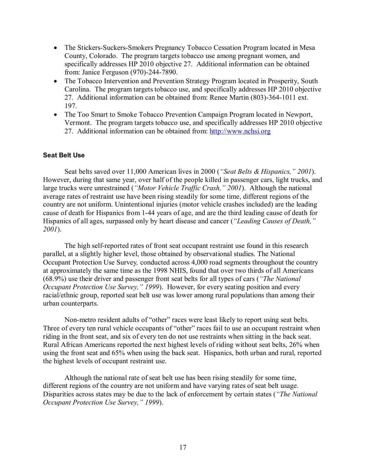- The Stickers-Suckers-Smokers Pregnancy Tobacco Cessation Program located in Mesa County, Colorado. The program targets tobacco use among pregnant women, and specifically addresses HP 2010 objective 27. Additional information can be obtained from: Janice Ferguson (970)-244-7890.
- The Tobacco Intervention and Prevention Strategy Program located in Prosperity, South Carolina. The program targets tobacco use, and specifically addresses HP 2010 objective 27. Additional information can be obtained from: Renee Martin (803)-364-1011 ext. 197.
- The Too Smart to Smoke Tobacco Prevention Campaign Program located in Newport, Vermont. The program targets tobacco use, and specifically addresses HP 2010 objective 27. Additional information can be obtained from: http://www.nchsi.org

## **Seat Belt Use**

Seat belts saved over 11,000 American lives in 2000 (*"Seat Belts & Hispanics*," 2001). However, during that same year, over half of the people killed in passenger cars, light trucks, and large trucks were unrestrained (*"Motor Vehicle Traffic Crash*," 2001). Although the national average rates of restraint use have been rising steadily for some time, different regions of the country are not uniform. Unintentional injuries (motor vehicle crashes included) are the leading cause of death for Hispanics from 1-44 years of age, and are the third leading cause of death for Hispanics of all ages, surpassed only by heart disease and cancer (*'Leading Causes of Death*," *2001*).

The high self-reported rates of front seat occupant restraint use found in this research parallel, at a slightly higher level, those obtained by observational studies. The National Occupant Protection Use Survey*,* conducted across 4,000 road segments throughout the country at approximately the same time as the 1998 NHIS, found that over two thirds of all Americans (68.9%) use their driver and passenger front seat belts for all types of cars (*ìThe National Occupant Protection Use Survey," 1999*). However, for every seating position and every racial/ethnic group, reported seat belt use was lower among rural populations than among their urban counterparts.

Non-metro resident adults of "other" races were least likely to report using seat belts. Three of every ten rural vehicle occupants of "other" races fail to use an occupant restraint when riding in the front seat, and six of every ten do not use restraints when sitting in the back seat. Rural African Americans reported the next highest levels of riding without seat belts, 26% when using the front seat and 65% when using the back seat. Hispanics, both urban and rural, reported the highest levels of occupant restraint use.

Although the national rate of seat belt use has been rising steadily for some time, different regions of the country are not uniform and have varying rates of seat belt usage. Disparities across states may be due to the lack of enforcement by certain states (*ìThe National Occupant Protection Use Survey," 1999).*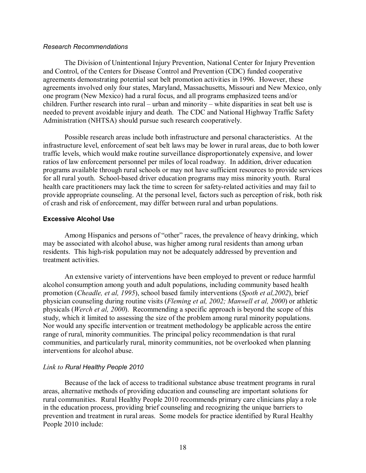#### *Research Recommendations*

The Division of Unintentional Injury Prevention, National Center for Injury Prevention and Control, of the Centers for Disease Control and Prevention (CDC) funded cooperative agreements demonstrating potential seat belt promotion activities in 1996. However, these agreements involved only four states, Maryland, Massachusetts, Missouri and New Mexico, only one program (New Mexico) had a rural focus, and all programs emphasized teens and/or children. Further research into rural – urban and minority – white disparities in seat belt use is needed to prevent avoidable injury and death. The CDC and National Highway Traffic Safety Administration (NHTSA) should pursue such research cooperatively.

Possible research areas include both infrastructure and personal characteristics. At the infrastructure level, enforcement of seat belt laws may be lower in rural areas, due to both lower traffic levels, which would make routine surveillance disproportionately expensive, and lower ratios of law enforcement personnel per miles of local roadway. In addition, driver education programs available through rural schools or may not have sufficient resources to provide services for all rural youth. School-based driver education programs may miss minority youth. Rural health care practitioners may lack the time to screen for safety-related activities and may fail to provide appropriate counseling. At the personal level, factors such as perception of risk, both risk of crash and risk of enforcement, may differ between rural and urban populations.

### **Excessive Alcohol Use**

Among Hispanics and persons of "other" races, the prevalence of heavy drinking, which may be associated with alcohol abuse, was higher among rural residents than among urban residents. This high-risk population may not be adequately addressed by prevention and treatment activities.

An extensive variety of interventions have been employed to prevent or reduce harmful alcohol consumption among youth and adult populations, including community based health promotion (*Cheadle, et al, 1995*), school based family interventions (*Spoth et al,2002*), brief physician counseling during routine visits (*Fleming et al, 2002; Manwell et al, 2000*) or athletic physicals (*Werch et al, 2000*). Recommending a specific approach is beyond the scope of this study, which it limited to assessing the size of the problem among rural minority populations. Nor would any specific intervention or treatment methodology be applicable across the entire range of rural, minority communities. The principal policy recommendation is that rural communities, and particularly rural, minority communities, not be overlooked when planning interventions for alcohol abuse.

## *Link to Rural Healthy People 2010*

 Because of the lack of access to traditional substance abuse treatment programs in rural areas, alternative methods of providing education and counseling are important solutions for rural communities. Rural Healthy People 2010 recommends primary care clinicians play a role in the education process, providing brief counseling and recognizing the unique barriers to prevention and treatment in rural areas. Some models for practice identified by Rural Healthy People 2010 include: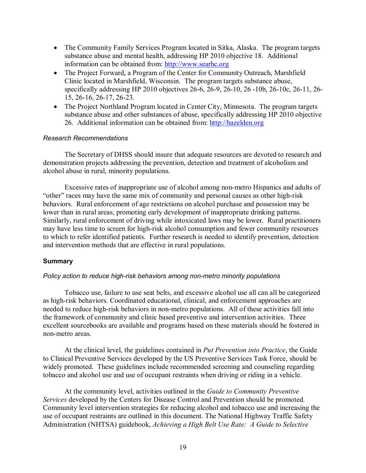- The Community Family Services Program located in Sitka, Alaska. The program targets substance abuse and mental health, addressing HP 2010 objective 18. Additional information can be obtained from: http://www.searhc.org
- The Project Forward, a Program of the Center for Community Outreach, Marshfield Clinic located in Marshfield, Wisconsin. The program targets substance abuse, specifically addressing HP 2010 objectives 26-6, 26-9, 26-10, 26 -10b, 26-10c, 26-11, 26- 15, 26-16, 26-17, 26-23.
- The Project Northland Program located in Center City, Minnesota. The program targets substance abuse and other substances of abuse, specifically addressing HP 2010 objective 26. Additional information can be obtained from: http://hazelden.org

## *Research Recommendations*

The Secretary of DHSS should insure that adequate resources are devoted to research and demonstration projects addressing the prevention, detection and treatment of alcoholism and alcohol abuse in rural, minority populations.

Excessive rates of inappropriate use of alcohol among non-metro Hispanics and adults of "other" races may have the same mix of community and personal causes as other high-risk behaviors. Rural enforcement of age restrictions on alcohol purchase and possession may be lower than in rural areas, promoting early development of inappropriate drinking patterns. Similarly, rural enforcement of driving while intoxicated laws may be lower. Rural practitioners may have less time to screen for high-risk alcohol consumption and fewer community resources to which to refer identified patients. Further research is needed to identify prevention, detection and intervention methods that are effective in rural populations.

## **Summary**

## *Policy action to reduce high-risk behaviors among non-metro minority populations*

Tobacco use, failure to use seat belts, and excessive alcohol use all can all be categorized as high-risk behaviors. Coordinated educational, clinical, and enforcement approaches are needed to reduce high-risk behaviors in non-metro populations. All of these activities fall into the framework of community and clinic based preventive and intervention activities. Three excellent sourcebooks are available and programs based on these materials should be fostered in non-metro areas.

At the clinical level, the guidelines contained in *Put Prevention into Practice*, the Guide to Clinical Preventive Services developed by the US Preventive Services Task Force, should be widely promoted. These guidelines include recommended screening and counseling regarding tobacco and alcohol use and use of occupant restraints when driving or riding in a vehicle.

At the community level, activities outlined in the *Guide to Community Preventive Services* developed by the Centers for Disease Control and Prevention should be promoted. Community level intervention strategies for reducing alcohol and tobacco use and increasing the use of occupant restraints are outlined in this document. The National Highway Traffic Safety Administration (NHTSA) guidebook, *Achieving a High Belt Use Rate: A Guide to Selective*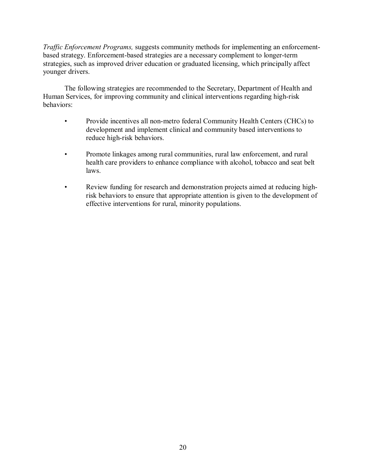*Traffic Enforcement Programs,* suggests community methods for implementing an enforcementbased strategy. Enforcement-based strategies are a necessary complement to longer-term strategies, such as improved driver education or graduated licensing, which principally affect younger drivers.

The following strategies are recommended to the Secretary, Department of Health and Human Services, for improving community and clinical interventions regarding high-risk behaviors:

- Provide incentives all non-metro federal Community Health Centers (CHCs) to development and implement clinical and community based interventions to reduce high-risk behaviors.
- Promote linkages among rural communities, rural law enforcement, and rural health care providers to enhance compliance with alcohol, tobacco and seat belt laws.
- Review funding for research and demonstration projects aimed at reducing highrisk behaviors to ensure that appropriate attention is given to the development of effective interventions for rural, minority populations.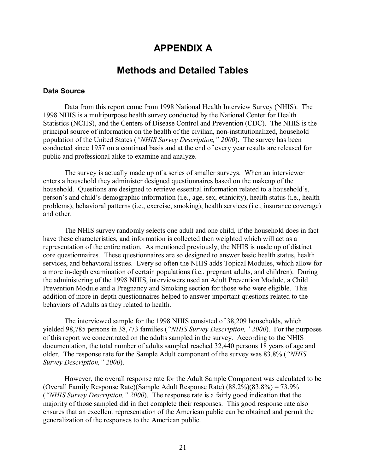## **APPENDIX A**

## **Methods and Detailed Tables**

## **Data Source**

Data from this report come from 1998 National Health Interview Survey (NHIS). The 1998 NHIS is a multipurpose health survey conducted by the National Center for Health Statistics (NCHS), and the Centers of Disease Control and Prevention (CDC). The NHIS is the principal source of information on the health of the civilian, non-institutionalized, household population of the United States *("NHIS Survey Description," 2000*). The survey has been conducted since 1957 on a continual basis and at the end of every year results are released for public and professional alike to examine and analyze.

The survey is actually made up of a series of smaller surveys. When an interviewer enters a household they administer designed questionnaires based on the makeup of the household. Questions are designed to retrieve essential information related to a household's, person's and child's demographic information (i.e., age, sex, ethnicity), health status (i.e., health problems), behavioral patterns (i.e., exercise, smoking), health services (i.e., insurance coverage) and other.

The NHIS survey randomly selects one adult and one child, if the household does in fact have these characteristics, and information is collected then weighted which will act as a representation of the entire nation. As mentioned previously, the NHIS is made up of distinct core questionnaires. These questionnaires are so designed to answer basic health status, health services, and behavioral issues. Every so often the NHIS adds Topical Modules, which allow for a more in-depth examination of certain populations (i.e., pregnant adults, and children). During the administering of the 1998 NHIS, interviewers used an Adult Prevention Module, a Child Prevention Module and a Pregnancy and Smoking section for those who were eligible. This addition of more in-depth questionnaires helped to answer important questions related to the behaviors of Adults as they related to health.

The interviewed sample for the 1998 NHIS consisted of 38,209 households, which yielded 98,785 persons in 38,773 families (*"NHIS Survey Description," 2000*). For the purposes of this report we concentrated on the adults sampled in the survey. According to the NHIS documentation, the total number of adults sampled reached 32,440 persons 18 years of age and older. The response rate for the Sample Adult component of the survey was 83.8% (*'NHIS Survey Description,*" 2000).

 However, the overall response rate for the Adult Sample Component was calculated to be (Overall Family Response Rate)(Sample Adult Response Rate) (88.2%)(83.8%) = 73.9% (*'NHIS Survey Description,'' 2000*). The response rate is a fairly good indication that the majority of those sampled did in fact complete their responses. This good response rate also ensures that an excellent representation of the American public can be obtained and permit the generalization of the responses to the American public.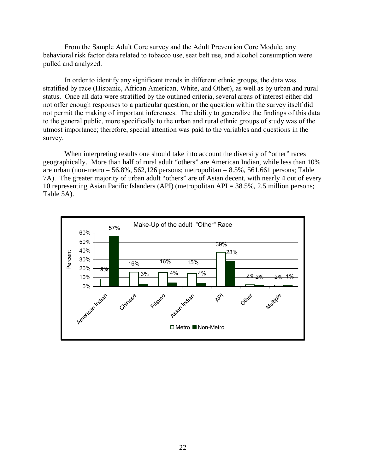From the Sample Adult Core survey and the Adult Prevention Core Module, any behavioral risk factor data related to tobacco use, seat belt use, and alcohol consumption were pulled and analyzed.

In order to identify any significant trends in different ethnic groups, the data was stratified by race (Hispanic, African American, White, and Other), as well as by urban and rural status. Once all data were stratified by the outlined criteria, several areas of interest either did not offer enough responses to a particular question, or the question within the survey itself did not permit the making of important inferences. The ability to generalize the findings of this data to the general public, more specifically to the urban and rural ethnic groups of study was of the utmost importance; therefore, special attention was paid to the variables and questions in the survey.

When interpreting results one should take into account the diversity of "other" races geographically. More than half of rural adult "others" are American Indian, while less than 10% are urban (non-metro  $= 56.8\%$ , 562,126 persons; metropolitan  $= 8.5\%$ , 561,661 persons; Table 7A). The greater majority of urban adult "others" are of Asian decent, with nearly 4 out of every 10 representing Asian Pacific Islanders (API) (metropolitan API = 38.5%, 2.5 million persons; Table 5A).

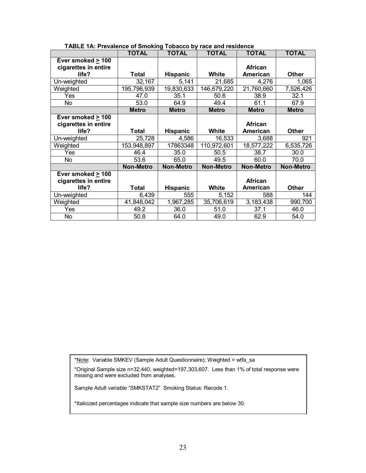|                                          | <b>TOTAL</b>     | <b>TOTAL</b>     | <b>TOTAL</b>     | <b>TOTAL</b>     | <b>TOTAL</b>     |
|------------------------------------------|------------------|------------------|------------------|------------------|------------------|
| Ever smoked $\geq$ 100                   |                  |                  |                  |                  |                  |
| cigarettes in entire                     |                  |                  |                  | <b>African</b>   |                  |
| life?                                    | <b>Total</b>     | <b>Hispanic</b>  | White            | <b>American</b>  | <b>Other</b>     |
| Un-weighted                              | 32,167           | 5,141            | 21,685           | 4,276            | 1,065            |
| Weighted                                 | 195,796,939      | 19,830,633       | 146,679,220      | 21,760,660       | 7,526,426        |
| Yes                                      | 47.0             | 35.1             | 50.6             | 38.9             | 32.1             |
| <b>No</b>                                | 53.0             | 64.9             | 49.4             | 61.1             | 67.9             |
|                                          | <b>Metro</b>     | <b>Metro</b>     | <b>Metro</b>     | <b>Metro</b>     | <b>Metro</b>     |
| <b>Ever smoked <math>\geq 100</math></b> |                  |                  |                  |                  |                  |
| cigarettes in entire                     |                  |                  |                  | <b>African</b>   |                  |
| life?                                    | <b>Total</b>     | <b>Hispanic</b>  | White            | American         | Other            |
| Un-weighted                              | 25,728           | 4,586            | 16,533           | 3,688            | 921              |
| Weighted                                 | 153,948,897      | 17863348         | 110,972,601      | 18,577,222       | 6,535,726        |
| Yes                                      | 46.4             | 35.0             | 50.5             | 38.7             | 30.0             |
| No                                       | 53.6             | 65.0             | 49.5             | 60.0             | 70.0             |
|                                          | <b>Non-Metro</b> | <b>Non-Metro</b> | <b>Non-Metro</b> | <b>Non-Metro</b> | <b>Non-Metro</b> |
| Ever smoked $\geq 100$                   |                  |                  |                  |                  |                  |
| cigarettes in entire                     |                  |                  |                  | <b>African</b>   |                  |
| life?                                    | <b>Total</b>     | <b>Hispanic</b>  | <b>White</b>     | American         | <b>Other</b>     |
| Un-weighted                              | 6,439            | 555              | 5,152            | 588              | 144              |
| Weighted                                 | 41,848,042       | 1,967,285        | 35,706,619       | 3,183,438        | 990,700          |
| Yes                                      | 49.2             | 36.0             | 51.0             | 37.1             | 46.0             |
| <b>No</b>                                | 50.8             | 64.0             | 49.0             | 62.9             | 54.0             |

#### **TABLE 1A: Prevalence of Smoking Tobacco by race and residence**

\*Note: Variable SMKEV (Sample Adult Questionnaire); Weighted = wtfa\_sa

\*Original Sample size n=32,440, weighted=197,303,607. Less than 1% of total response were missing and were excluded from analyses.

Sample Adult variable "SMKSTAT2" Smoking Status: Recode 1.

\*Italicized percentages indicate that sample size numbers are below 30.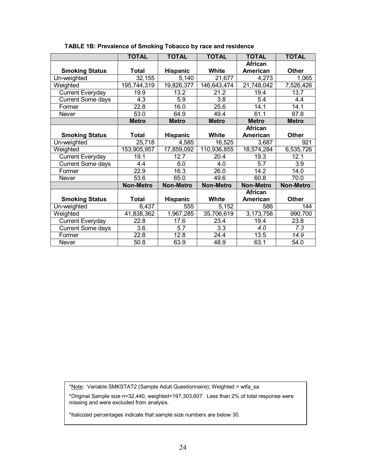|                          | <b>TOTAL</b>     | <b>TOTAL</b>     | <b>TOTAL</b>     | <b>TOTAL</b>      | <b>TOTAL</b>      |
|--------------------------|------------------|------------------|------------------|-------------------|-------------------|
|                          |                  |                  |                  | <b>African</b>    |                   |
| <b>Smoking Status</b>    | <b>Total</b>     | <b>Hispanic</b>  | White            | American          | Other             |
| Un-weighted              | 32, 155          | 5,140            | 21,677           | 4,273             | 1,065             |
| Weighted                 | 195,744,319      | 19,826,377       | 146,643,474      | 21,748,042        | 7,526,426         |
| <b>Current Everyday</b>  | 19.9             | 13.2             | 21.2             | 19.4              | 13.7              |
| <b>Current Some days</b> | 4.3              | 5.9              | 3.8              | 5.4               | 4.4               |
| Former                   | 22.8             | 16.0             | 25.6             | 14.1              | $\overline{1}4.1$ |
| Never                    | 53.0             | 64.9             | 49.4             | 61.1              | 67.8              |
|                          | <b>Metro</b>     | <b>Metro</b>     | <b>Metro</b>     | <b>Metro</b>      | <b>Metro</b>      |
|                          |                  |                  |                  | <b>African</b>    |                   |
| <b>Smoking Status</b>    | Total            | <b>Hispanic</b>  | White            | <b>American</b>   | <b>Other</b>      |
| Un-weighted              | 25,718           | 4,585            | 16,525           | 3,687             | 921               |
| Weighted                 | 153,905,957      | 17,859,092       | 110,936,855      | 18,574,284        | 6,535,726         |
| <b>Current Everyday</b>  | 19.1             | 12.7             | 20.4             | 19.3              | 12.1              |
| <b>Current Some days</b> | 4.4              | 6.0              | 4.0              | 5.7               | 3.9               |
| Former                   | 22.9             | 16.3             | 26.0             | $\overline{14.2}$ | 14.0              |
| <b>Never</b>             | 53.6             | 65.0             | 49.6             | 60.8              | 70.0              |
|                          | <b>Non-Metro</b> | <b>Non-Metro</b> | <b>Non-Metro</b> | <b>Non-Metro</b>  | <b>Non-Metro</b>  |
|                          |                  |                  |                  | <b>African</b>    |                   |
| <b>Smoking Status</b>    | <b>Total</b>     | <b>Hispanic</b>  | <b>White</b>     | American          | <b>Other</b>      |
| Un-weighted              | 6,437            | 555              | 5,152            | 586               | 144               |
| Weighted                 | 41,838,362       | 1,967,285        | 35,706,619       | 3,173,758         | 990,700           |
| <b>Current Everyday</b>  | 22.8             | 17.6             | 23.4             | 19.4              | 23.8              |
| <b>Current Some days</b> | 3.6              | 5.7              | 3.3              | 4.0               | 7.3               |
| Former                   | 22.8             | 12.8             | 24.4             | 13.5              | 14.9              |
| Never                    | 50.8             | 63.9             | 48.9             | 63.1              | 54.0              |

### **TABLE 1B: Prevalence of Smoking Tobacco by race and residence**

\*Note: Variable SMKSTAT2 (Sample Adult Questionnaire); Weighted = wtfa\_sa

\*Original Sample size n=32,440, weighted=197,303,607. Less than 2% of total response were missing and were excluded from analysis.

\*Italicized percentages indicate that sample size numbers are below 30.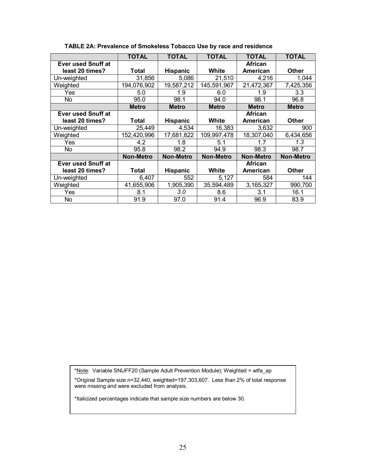|                           | <b>TOTAL</b>     | <b>TOTAL</b>     | <b>TOTAL</b>     | <b>TOTAL</b>     | <b>TOTAL</b>     |
|---------------------------|------------------|------------------|------------------|------------------|------------------|
| Ever used Snuff at        |                  |                  |                  | <b>African</b>   |                  |
| least 20 times?           | <b>Total</b>     | <b>Hispanic</b>  | White            | American         | <b>Other</b>     |
| Un-weighted               | 31,856           | 5,086            | 21,510           | 4,216            | 1,044            |
| Weighted                  | 194,076,902      | 19,587,212       | 145,591,967      | 21,472,367       | 7,425,356        |
| Yes                       | 5.0              | 1.9              | 6.0              | 1.9              | 3.3              |
| No.                       | 95.0             | 98.1             | 94.0             | 98.1             | 96.8             |
|                           | <b>Metro</b>     | <b>Metro</b>     | <b>Metro</b>     | <b>Metro</b>     | <b>Metro</b>     |
| Ever used Snuff at        |                  |                  |                  | <b>African</b>   |                  |
| least 20 times?           | <b>Total</b>     | <b>Hispanic</b>  | White            | American         | Other            |
| Un-weighted               | 25,449           | 4,534            | 16,383           | 3,632            | 900              |
| Weighted                  | 152,420,996      | 17,681,822       | 109,997,478      | 18,307,040       | 6,434,656        |
| Yes                       | 4.2              | 1.8              | 5.1              | 1.7              | 1.3              |
| No.                       | 95.8             | 98.2             | 94.9             | 98.3             | 98.7             |
|                           | <b>Non-Metro</b> | <b>Non-Metro</b> | <b>Non-Metro</b> | <b>Non-Metro</b> | <b>Non-Metro</b> |
| <b>Ever used Snuff at</b> |                  |                  |                  | <b>African</b>   |                  |
| least 20 times?           | Total            | <b>Hispanic</b>  | White            | <b>American</b>  | Other            |
| Un-weighted               | 6,407            | 552              | 5,127            | 584              | 144              |
| Weighted                  | 41,655,906       | 1,905,390        | 35,594,489       | 3,165,327        | 990,700          |
| Yes                       | 8.1              | 3.0              | 8.6              | 3.1              | 16.1             |
| No                        | 91.9             | 97.0             | 91.4             | 96.9             | 83.9             |

### **TABLE 2A: Prevalence of Smokeless Tobacco Use by race and residence**

\*Note: Variable SNUFF20 (Sample Adult Prevention Module); Weighted = wtfa\_ap \*Original Sample size n=32,440, weighted=197,303,607. Less than 2% of total response

\*Italicized percentages indicate that sample size numbers are below 30.

were missing and were excluded from analysis.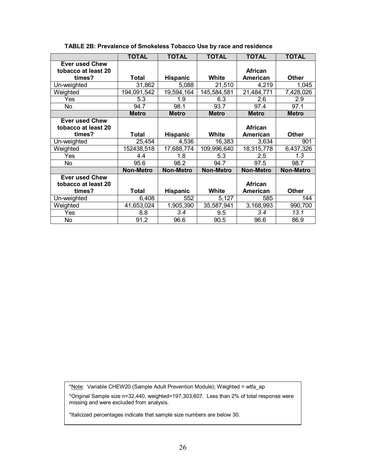|                       | <b>TOTAL</b>     | <b>TOTAL</b>     | <b>TOTAL</b>     | <b>TOTAL</b>     | <b>TOTAL</b>     |
|-----------------------|------------------|------------------|------------------|------------------|------------------|
| <b>Ever used Chew</b> |                  |                  |                  |                  |                  |
| tobacco at least 20   |                  |                  |                  | <b>African</b>   |                  |
| times?                | <b>Total</b>     | <b>Hispanic</b>  | White            | American         | <b>Other</b>     |
| Un-weighted           | 31,862           | 5,088            | 21,510           | 4,219            | 1,045            |
| Weighted              | 194,091,542      | 19,594,164       | 145,584,581      | 21,484,771       | 7,428,026        |
| Yes                   | 5.3              | 1.9              | 6.3              | 2.6              | 2.9              |
| <b>No</b>             | 94.7             | 98.1             | 93.7             | 97.4             | 97.1             |
|                       | <b>Metro</b>     | <b>Metro</b>     | <b>Metro</b>     | <b>Metro</b>     | <b>Metro</b>     |
| <b>Ever used Chew</b> |                  |                  |                  |                  |                  |
| tobacco at least 20   |                  |                  |                  | African          |                  |
| times?                | <b>Total</b>     | <b>Hispanic</b>  | White            | American         | Other            |
| Un-weighted           | 25,454           | 4,536            | 16,383           | 3,634            | 901              |
| Weighted              | 152438,518       | 17,688,774       | 109,996,640      | 18,315,778       | 6,437,326        |
| Yes                   | 4.4              | 1.8              | 5.3              | 2.5              | 1.3              |
| No.                   | 95.6             | 98.2             | 94.7             | 97.5             | 98.7             |
|                       | <b>Non-Metro</b> | <b>Non-Metro</b> | <b>Non-Metro</b> | <b>Non-Metro</b> | <b>Non-Metro</b> |
| <b>Ever used Chew</b> |                  |                  |                  |                  |                  |
| tobacco at least 20   |                  |                  |                  | <b>African</b>   |                  |
| times?                | <b>Total</b>     | <b>Hispanic</b>  | White            | American         | <b>Other</b>     |
| Un-weighted           | 6,408            | 552              | 5,127            | 585              | 144              |
| Weighted              | 41,653,024       | 1,905,390        | 35,587,941       | 3,168,993        | 990,700          |
| Yes                   | 8.8              | 3.4              | 9.5              | 3.4              | 13.1             |
| <b>No</b>             | 91.2             | 96.6             | 90.5             | 96.6             | 86.9             |

### **TABLE 2B: Prevalence of Smokeless Tobacco Use by race and residence**

\*Note: Variable CHEW20 (Sample Adult Prevention Module); Weighted = wtfa\_ap

\*Original Sample size n=32,440, weighted=197,303,607. Less than 2% of total response were missing and were excluded from analysis.

\*Italicized percentages indicate that sample size numbers are below 30.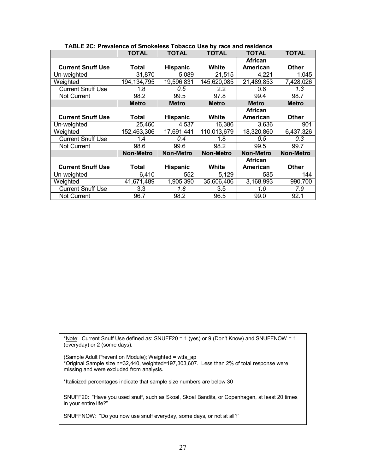|                          | <b>TOTAL</b>     | <b>TOTAL</b>     | <b>TOTAL</b>     | <b>TOTAL</b>     | <b>TOTAL</b>     |
|--------------------------|------------------|------------------|------------------|------------------|------------------|
|                          |                  |                  |                  | <b>African</b>   |                  |
| <b>Current Snuff Use</b> | <b>Total</b>     | <b>Hispanic</b>  | White            | American         | <b>Other</b>     |
| Un-weighted              | 31,870           | 5,089            | 21,515           | 4,221            | 1,045            |
| Weighted                 | 194, 134, 795    | 19,596,831       | 145,620,085      | 21,489,853       | 7,428,026        |
| <b>Current Snuff Use</b> | 1.8              | 0.5              | $2.2\,$          | 0.6              | 1.3              |
| Not Current              | 98.2             | 99.5             | 97.8             | 99.4             | 98.7             |
|                          | <b>Metro</b>     | <b>Metro</b>     | <b>Metro</b>     | <b>Metro</b>     | <b>Metro</b>     |
|                          |                  |                  |                  | <b>African</b>   |                  |
| <b>Current Snuff Use</b> | Total            | <b>Hispanic</b>  | White            | American         | Other            |
| Un-weighted              | 25,460           | 4,537            | 16,386           | 3,636            | 901              |
| Weighted                 | 152,463,306      | 17,691,441       | 110,013,679      | 18,320,860       | 6,437,326        |
| <b>Current Snuff Use</b> | 1.4              | 0.4              | 1.8              | 0.5              | 0.3              |
| Not Current              | 98.6             | 99.6             | 98.2             | 99.5             | 99.7             |
|                          | <b>Non-Metro</b> | <b>Non-Metro</b> | <b>Non-Metro</b> | <b>Non-Metro</b> | <b>Non-Metro</b> |
|                          |                  |                  |                  | <b>African</b>   |                  |
| <b>Current Snuff Use</b> | <b>Total</b>     | <b>Hispanic</b>  | White            | <b>American</b>  | <b>Other</b>     |
| Un-weighted              | 6,410            | 552              | 5,129            | 585              | 144              |
| Weighted                 | 41,671,489       | 1,905,390        | 35,606,406       | 3,168,993        | 990,700          |
| <b>Current Snuff Use</b> | 3.3              | 1.8              | 3.5              | 1.0              | 7.9              |
| <b>Not Current</b>       | 96.7             | 98.2             | 96.5             | 99.0             | 92.1             |

### **TABLE 2C: Prevalence of Smokeless Tobacco Use by race and residence**

\*Note: Current Snuff Use defined as: SNUFF20 = 1 (yes) or 9 (Don't Know) and SNUFFNOW = 1 (everyday) or 2 (some days).

(Sample Adult Prevention Module); Weighted = wtfa\_ap \*Original Sample size n=32,440, weighted=197,303,607. Less than 2% of total response were missing and were excluded from analysis.

\*Italicized percentages indicate that sample size numbers are below 30

SNUFF20: "Have you used snuff, such as Skoal, Skoal Bandits, or Copenhagen, at least 20 times in your entire life?"

SNUFFNOW: "Do you now use snuff everyday, some days, or not at all?"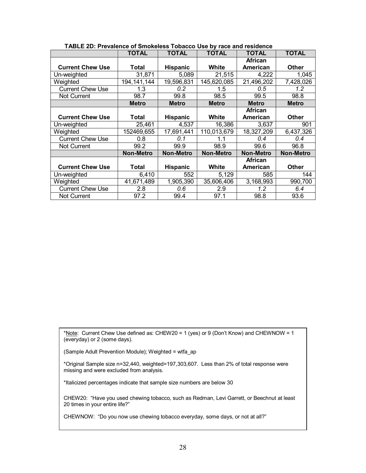|                         | <b>TOTAL</b>     | <b>TOTAL</b>     | <b>TOTAL</b>     | <b>TOTAL</b>     | <b>TOTAL</b>     |
|-------------------------|------------------|------------------|------------------|------------------|------------------|
|                         |                  |                  |                  | African          |                  |
| <b>Current Chew Use</b> | <b>Total</b>     | <b>Hispanic</b>  | <b>White</b>     | American         | <b>Other</b>     |
| Un-weighted             | 31,871           | 5,089            | 21,515           | 4,222            | 1,045            |
| Weighted                | 194, 141, 144    | 19,596,831       | 145,620,085      | 21,496,202       | 7,428,026        |
| <b>Current Chew Use</b> | 1.3              | 0.2              | 1.5              | $0.5^{\circ}$    | 1.2              |
| <b>Not Current</b>      | 98.7             | 99.8             | 98.5             | 99.5             | 98.8             |
|                         | <b>Metro</b>     | <b>Metro</b>     | <b>Metro</b>     | <b>Metro</b>     | <b>Metro</b>     |
|                         |                  |                  |                  | <b>African</b>   |                  |
| <b>Current Chew Use</b> | Total            | <b>Hispanic</b>  | White            | American         | Other            |
| Un-weighted             | 25,461           | 4,537            | 16,386           | 3,637            | 901              |
| Weighted                | 152469,655       | 17,691,441       | 110,013,679      | 18,327,209       | 6,437,326        |
| <b>Current Chew Use</b> | 0.8              | 0.1              | 1.1              | 0.4              | 0.4              |
| Not Current             | 99.2             | 99.9             | 98.9             | 99.6             | 96.8             |
|                         | <b>Non-Metro</b> | <b>Non-Metro</b> | <b>Non-Metro</b> | <b>Non-Metro</b> | <b>Non-Metro</b> |
|                         |                  |                  |                  | <b>African</b>   |                  |
| <b>Current Chew Use</b> | <b>Total</b>     | <b>Hispanic</b>  | <b>White</b>     | <b>American</b>  | <b>Other</b>     |
| Un-weighted             | 6,410            | 552              | 5,129            | 585              | 144              |
| Weighted                | 41,671,489       | 1,905,390        | 35,606,406       | 3,168,993        | 990,700          |
| <b>Current Chew Use</b> | 2.8              | 0.6              | 2.9              | 1.2              | 6.4              |
| <b>Not Current</b>      | 97.2             | 99.4             | 97.1             | 98.8             | 93.6             |

#### **TABLE 2D: Prevalence of Smokeless Tobacco Use by race and residence**

\*Note: Current Chew Use defined as: CHEW20 = 1 (yes) or 9 (Don't Know) and CHEWNOW = 1 (everyday) or 2 (some days).

(Sample Adult Prevention Module); Weighted = wtfa\_ap

\*Original Sample size n=32,440, weighted=197,303,607. Less than 2% of total response were missing and were excluded from analysis.

\*Italicized percentages indicate that sample size numbers are below 30

CHEW20: "Have you used chewing tobacco, such as Redman, Levi Garrett, or Beechnut at least 20 times in your entire life?"

CHEWNOW: "Do you now use chewing tobacco everyday, some days, or not at all?"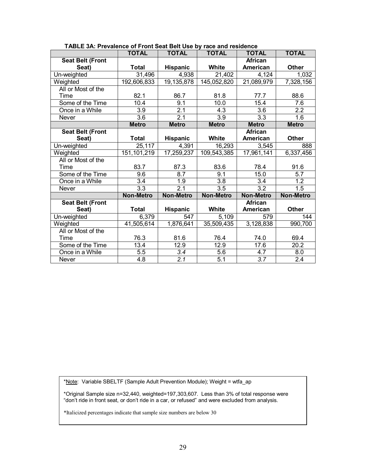|                         | <b>TOTAL</b>     | <b>TOTAL</b>     | <b>TOTAL</b>     | <b>TOTAL</b>     | <b>TOTAL</b>     |
|-------------------------|------------------|------------------|------------------|------------------|------------------|
| <b>Seat Belt (Front</b> |                  |                  |                  | <b>African</b>   |                  |
| Seat)                   | <b>Total</b>     | Hispanic         | White            | <b>American</b>  | <b>Other</b>     |
| Un-weighted             | 31,496           | 4,938            | 21,402           | 4,124            | 1,032            |
| Weighted                | 192,606,833      | 19,135,878       | 145,052,820      | 21,089,979       | 7,328,156        |
| All or Most of the      |                  |                  |                  |                  |                  |
| Time                    | 82.1             | 86.7             | 81.8             | 77.7             | 88.6             |
| Some of the Time        | 10.4             | $\overline{9.1}$ | 10.0             | 15.4             | $\overline{7.6}$ |
| Once in a While         | 3.9              | $\overline{2.1}$ | 4.3              | 3.6              | 2.2              |
| <b>Never</b>            | 3.6              | 2.1              | 3.9              | 3.3              | 1.6              |
|                         | <b>Metro</b>     | <b>Metro</b>     | <b>Metro</b>     | <b>Metro</b>     | <b>Metro</b>     |
| <b>Seat Belt (Front</b> |                  |                  |                  | <b>African</b>   |                  |
| Seat)                   | <b>Total</b>     | Hispanic         | White            | American         | <b>Other</b>     |
| Un-weighted             | 25,117           | 4,391            | 16,293           | 3,545            | 888              |
| Weighted                | 151, 101, 219    | 17,259,237       | 109,543,385      | 17,961,141       | 6,337,456        |
| All or Most of the      |                  |                  |                  |                  |                  |
| Time                    | 83.7             | 87.3             | 83.6             | 78.4             | 91.6             |
| Some of the Time        | 9.6              | $\overline{8.7}$ | 9.1              | 15.0             | $\overline{5.7}$ |
| Once in a While         | $\overline{3.4}$ | $\overline{1.9}$ | $\overline{3.8}$ | 3.4              | $\overline{1.2}$ |
| Never                   | $\overline{3.3}$ | 2.1              | 3.5              | $\overline{3.2}$ | 1.5              |
|                         | <b>Non-Metro</b> | <b>Non-Metro</b> | <b>Non-Metro</b> | <b>Non-Metro</b> | <b>Non-Metro</b> |
| <b>Seat Belt (Front</b> |                  |                  |                  | <b>African</b>   |                  |
| Seat)                   | <b>Total</b>     | Hispanic         | <b>White</b>     | American         | <b>Other</b>     |
| Un-weighted             | 6,379            | 547              | 5,109            | 579              | 144              |
| Weighted                | 41,505,614       | 1,876,641        | 35,509,435       | 3,128,838        | 990,700          |
| All or Most of the      |                  |                  |                  |                  |                  |
| Time                    | 76.3             | 81.6             | 76.4             | 74.0             | 69.4             |
| Some of the Time        | 13.4             | 12.9             | 12.9             | 17.6             | 20.2             |
| Once in a While         | 5.5              | $\overline{3.4}$ | $5.\overline{6}$ | 4.7              | 8.0              |
| <b>Never</b>            | 4.8              | $\overline{2.1}$ | 5.1              | $\overline{3.7}$ | $\overline{2.4}$ |

#### **TABLE 3A: Prevalence of Front Seat Belt Use by race and residence**

\*Note: Variable SBELTF (Sample Adult Prevention Module); Weight = wtfa\_ap

\*Original Sample size n=32,440, weighted=197,303,607. Less than 3% of total response were "don't ride in front seat, or don't ride in a car, or refused" and were excluded from analysis.

\*Italicized percentages indicate that sample size numbers are below 30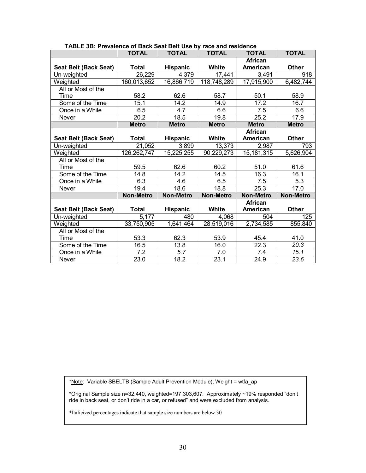|                              | <b>TOTAL</b>     | <b>TOTAL</b>            | <b>TOTAL</b>     | <b>TOTAL</b>     | <b>TOTAL</b>     |
|------------------------------|------------------|-------------------------|------------------|------------------|------------------|
|                              |                  |                         |                  | <b>African</b>   |                  |
| <b>Seat Belt (Back Seat)</b> | <b>Total</b>     | Hispanic                | White            | <b>American</b>  | <b>Other</b>     |
| Un-weighted                  | 26,229           | 4,379                   | 17,441           | 3,491            | 918              |
| Weighted                     | 160,013,652      | 16,866,719              | 118,748,289      | 17,915,900       | 6,482,744        |
| All or Most of the           |                  |                         |                  |                  |                  |
| Time                         | 58.2             | 62.6                    | 58.7             | 50.1             | 58.9             |
| Some of the Time             | 15.1             | 14.2                    | 14.9             | 17.2             | 16.7             |
| Once in a While              | 6.5              | 4.7                     | 6.6              | 7.5              | 6.6              |
| <b>Never</b>                 | 20.2             | 18.5                    | 19.8             | 25.2             | 17.9             |
|                              | <b>Metro</b>     | <b>Metro</b>            | <b>Metro</b>     | <b>Metro</b>     | <b>Metro</b>     |
|                              |                  |                         |                  | <b>African</b>   |                  |
| Seat Belt (Back Seat)        | <b>Total</b>     | <b>Hispanic</b>         | White            | American         | <b>Other</b>     |
| Un-weighted                  | 21,052           | 3,899                   | 13,373           | 2,987            | 793              |
| Weighted                     | 126, 262, 747    | 15,225,255              | 90,229,273       | 15, 181, 315     | 5,626,904        |
| All or Most of the           |                  |                         |                  |                  |                  |
| Time                         | 59.5             | 62.6                    | 60.2             | 51.0             | 61.6             |
| Some of the Time             | 14.8             | 14.2                    | 14.5             | 16.3             | 16.1             |
| Once in a While              | 6.3              | 4.6                     | 6.5              | 7.5              | 5.3              |
| Never                        | 19.4             | 18.6                    | 18.8             | 25.3             | 17.0             |
|                              | <b>Non-Metro</b> | <b>Non-Metro</b>        | <b>Non-Metro</b> | <b>Non-Metro</b> | <b>Non-Metro</b> |
|                              |                  |                         |                  | <b>African</b>   |                  |
| Seat Belt (Back Seat)        | <b>Total</b>     | Hispanic                | White            | American         | <b>Other</b>     |
| Un-weighted                  | 5,177            | 480                     | 4,068            | 504              | 125              |
| Weighted                     | 33,750,905       | $\overline{1,641}$ ,464 | 28,519,016       | 2,734,585        | 855,840          |
| All or Most of the           |                  |                         |                  |                  |                  |
| Time                         | 53.3             | 62.3                    | 53.9             | 45.4             | 41.0             |
| Some of the Time             | 16.5             | 13.8                    | 16.0             | 22.3             | 20.3             |
| Once in a While              | 7.2              | 5.7                     | 7.0              | 7.4              | 15.1             |
| <b>Never</b>                 | 23.0             | 18.2                    | 23.1             | 24.9             | 23.6             |

#### **TABLE 3B: Prevalence of Back Seat Belt Use by race and residence**

\*Note: Variable SBELTB (Sample Adult Prevention Module); Weight = wtfa\_ap

\*Original Sample size n=32,440, weighted=197,303,607. Approximately ~19% responded "don't ride in back seat, or donít ride in a car, or refusedî and were excluded from analysis.

\*Italicized percentages indicate that sample size numbers are below 30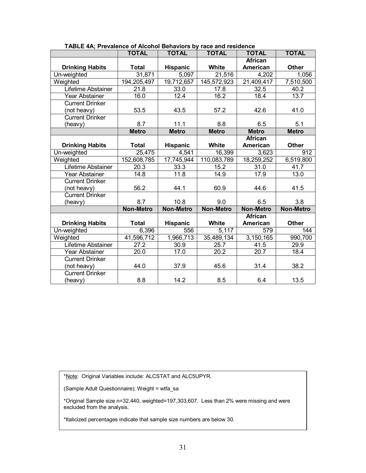|                           | <b>TOTAL</b>      | <b>TOTAL</b>     | <b>TOTAL</b>      | <b>TOTAL</b>      | <b>TOTAL</b>     |
|---------------------------|-------------------|------------------|-------------------|-------------------|------------------|
|                           |                   |                  |                   | <b>African</b>    |                  |
| <b>Drinking Habits</b>    | <b>Total</b>      | Hispanic         | White             | American          | <b>Other</b>     |
| Un-weighted               | 31,871            | 5,097            | 21,516            | 4,202             | 1,056            |
| Weighted                  | 194,205,497       | 19,712,657       | 145,572,923       | 21,409,417        | 7,510,500        |
| Lifetime Abstainer        | 21.8              | 33.0             | 17.8              | $\overline{32.5}$ | 40.2             |
| Year Abstainer            | 16.0              | 12.4             | 16.2              | 18.4              | 13.7             |
| <b>Current Drinker</b>    |                   |                  |                   |                   |                  |
| (not heavy)               | 53.5              | 43.5             | 57.2              | 42.6              | 41.0             |
| <b>Current Drinker</b>    |                   |                  |                   |                   |                  |
| (heavy)                   | 8.7               | 11.1             | 8.8               | 6.5               | 5.1              |
|                           | <b>Metro</b>      | <b>Metro</b>     | <b>Metro</b>      | <b>Metro</b>      | <b>Metro</b>     |
|                           |                   |                  |                   | <b>African</b>    |                  |
| <b>Drinking Habits</b>    | <b>Total</b>      | <b>Hispanic</b>  | White             | American          | <b>Other</b>     |
| Un-weighted               | 25,475            | 4,541            | 16,399            | 3,623             | 912              |
| Weighted                  | 152,608,785       | 17,745,944       | 110,083,789       | 18,259,252        | 6,519,800        |
| Lifetime Abstainer        | 20.3              | 33.3             | 15.2              | $\overline{31.0}$ | 41.7             |
| Year Abstainer            | 14.8              | 11.8             | 14.9              | 17.9              | 13.0             |
| <b>Current Drinker</b>    |                   |                  |                   |                   |                  |
| (not heavy)               | 56.2              | 44.1             | 60.9              | 44.6              | 41.5             |
| <b>Current Drinker</b>    |                   |                  |                   |                   |                  |
| (heavy)                   | 8.7               | 10.8             | 9.0               | 6.5               | 3.8              |
|                           | <b>Non-Metro</b>  | <b>Non-Metro</b> | <b>Non-Metro</b>  | <b>Non-Metro</b>  | <b>Non-Metro</b> |
|                           |                   |                  |                   | <b>African</b>    |                  |
| <b>Drinking Habits</b>    | <b>Total</b>      | <b>Hispanic</b>  | White             | American          | <b>Other</b>     |
| Un-weighted               | 6,396             | 556              | 5,117             | 579               | 144              |
| Weighted                  | 41,596,712        | 1,966,713        | 35,489,134        | 3,150,165         | 990,700          |
| <b>Lifetime Abstainer</b> | $\overline{27}.2$ | 30.9             | 25.7              | 41.5              | 29.9             |
| Year Abstainer            | 20.0              | 17.0             | $\overline{20.2}$ | 20.7              | 18.4             |
| <b>Current Drinker</b>    |                   |                  |                   |                   |                  |
| (not heavy)               | 44.0              | 37.9             | 45.6              | 31.4              | 38.2             |
| <b>Current Drinker</b>    |                   |                  |                   |                   |                  |
| (heavy)                   | 8.8               | 14.2             | 8.5               | 6.4               | 13.5             |

#### **TABLE 4A; Prevalence of Alcohol Behaviors by race and residence**

\*Note: Original Variables include: ALCSTAT and ALC5UPYR.

(Sample Adult Questionnaire); Weight = wtfa\_sa

\*Original Sample size n=32,440, weighted=197,303,607. Less than 2% were missing and were excluded from the analysis.

\*Italicized percentages indicate that sample size numbers are below 30.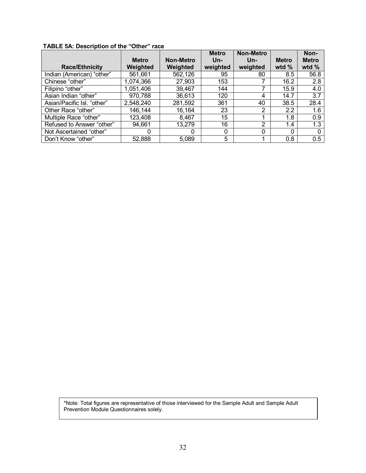## **TABLE 5A: Description of the "Other" race**

|                            |              |           | <b>Metro</b>     | <b>Non-Metro</b> |              | Non-             |
|----------------------------|--------------|-----------|------------------|------------------|--------------|------------------|
|                            | <b>Metro</b> | Non-Metro | Un-              | Un-              | <b>Metro</b> | <b>Metro</b>     |
| <b>Race/Ethnicity</b>      | Weighted     | Weighted  | weighted         | weighted         | wtd $%$      | wtd $%$          |
| Indian (American) "other"  | 561,661      | 562,126   | 95               | 80               | 8.5          | 56.8             |
| Chinese "other"            | 1,074,366    | 27,903    | 153              |                  | 16.2         | 2.8              |
| Filipino "other"           | 1,051,406    | 39,467    | 144              |                  | 15.9         | 4.0              |
| Asian Indian "other"       | 970,788      | 36,613    | 120              | 4                | 14.7         | $\overline{3.7}$ |
| Asian/Pacific Isl. "other" | 2,548,240    | 281,592   | 361              | 40               | 38.5         | 28.4             |
| Other Race "other"         | 146,144      | 16,164    | 23               | 2                | 2.2          | 1.6              |
| Multiple Race "other"      | 123,408      | 8,467     | 15 <sub>15</sub> |                  | 1.8          | 0.9              |
| Refused to Answer "other"  | 94,661       | 13,279    | 16               | $\overline{2}$   | 1.4          | 1.3              |
| Not Ascertained "other"    | 0            | 0         | $\Omega$         | 0                | 0            | 0                |
| Don't Know "other"         | 52,888       | 5,089     | 5                |                  | 0.8          | 0.5              |

\*Note: Total figures are representative of those interviewed for the Sample Adult and Sample Adult Prevention Module Questionnaires solely.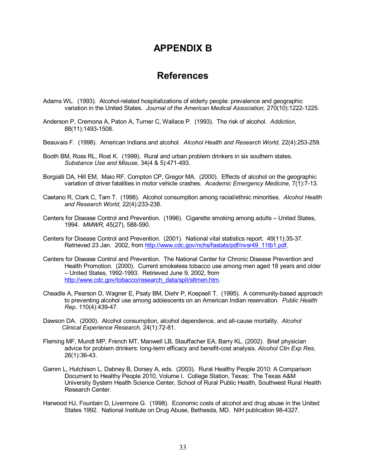## **APPENDIX B**

## **References**

- Adams WL. (1993). Alcohol-related hospitalizations of elderly people: prevalence and geographic variation in the United States. *Journal of the American Medical Association,* 270(10):1222-1225.
- Anderson P, Cremona A, Paton A, Turner C, Wallace P. (1993). The risk of alcohol. *Addiction,*  88(11):1493-1508.
- Beauvais F. (1998). American Indians and alcohol. *Alcohol Health and Research World,* 22(4):253-259.
- Booth BM, Ross RL, Rost K. (1999). Rural and urban problem drinkers in six southern states. *Substance Use and Misuse,* 34(4 & 5):471-493.
- Borgialli DA, Hill EM, Maio RF, Compton CP, Gregor MA. (2000). Effects of alcohol on the geographic variation of driver fatalities in motor vehicle crashes. *Academic Emergency Medicine,* 7(1):7-13.
- Caetano R, Clark C, Tam T. (1998). Alcohol consumption among racial/ethnic minorities. *Alcohol Health and Research World,* 22(4):233-238.
- Centers for Disease Control and Prevention. (1996). Cigarette smoking among adults United States, 1994. *MMWR,* 45(27), 588-590.
- Centers for Disease Control and Prevention. (2001). National vital statistics report. 49(11):35-37. Retrieved 23 Jan. 2002, from http://www.cdc.gov/nchs/fastats/pdf/nvsr49\_11tb1.pdf.
- Centers for Disease Control and Prevention. The National Center for Chronic Disease Prevention and Health Promotion. (2000). Current smokeless tobacco use among men aged 18 years and older  $-$  United States, 1992-1993. Retrieved June 9, 2002, from http://www.cdc.gov/tobacco/research\_data/spit/sltmen.htm.
- Cheadle A, Pearson D, Wagner E, Psaty BM, Diehr P, Koepsell T. (1995). A community-based approach to preventing alcohol use among adolescents on an American Indian reservation. *Public Health Rep*. 110(4):439-47.
- Dawson DA. (2000). Alcohol consumption, alcohol dependence, and all-cause mortality. *Alcohol Clinical Experience Research,* 24(1):72-81.
- Fleming MF, Mundt MP, French MT, Manwell LB, Stauffacher EA, Barry KL. (2002). Brief physician advice for problem drinkers: long-term efficacy and benefit-cost analysis. *Alcohol Clin Exp Res*, 26(1):36-43.
- Gamm L, Hutchison L, Dabney B, Dorsey A, eds. (2003). Rural Healthy People 2010: A Comparison Document to Healthy People 2010, Volume I. College Station, Texas: The Texas A&M University System Health Science Center, School of Rural Public Health, Southwest Rural Health Research Center.
- Harwood HJ, Fountain D, Livermore G. (1998). Economic costs of alcohol and drug abuse in the United States 1992. National Institute on Drug Abuse, Bethesda, MD. NIH publication 98-4327.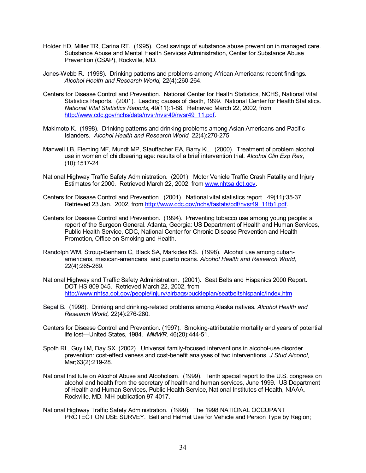- Holder HD, Miller TR, Carina RT. (1995). Cost savings of substance abuse prevention in managed care. Substance Abuse and Mental Health Services Administration, Center for Substance Abuse Prevention (CSAP), Rockville, MD.
- Jones-Webb R. (1998). Drinking patterns and problems among African Americans: recent findings. *Alcohol Health and Research World,* 22(4):260-264.
- Centers for Disease Control and Prevention. National Center for Health Statistics, NCHS, National Vital Statistics Reports. (2001). Leading causes of death, 1999. National Center for Health Statistics. *National Vital Statistics Reports,* 49(11):1-88. Retrieved March 22, 2002, from http://www.cdc.gov/nchs/data/nvsr/nvsr49/nvsr49\_11.pdf.
- Makimoto K. (1998). Drinking patterns and drinking problems among Asian Americans and Pacific Islanders. *Alcohol Health and Research World,* 22(4):270-275.
- Manwell LB, Fleming MF, Mundt MP, Stauffacher EA, Barry KL. (2000). Treatment of problem alcohol use in women of childbearing age: results of a brief intervention trial. *Alcohol Clin Exp Res*, (10):1517-24
- National Highway Traffic Safety Administration. (2001). Motor Vehicle Traffic Crash Fatality and Injury Estimates for 2000. Retrieved March 22, 2002, from www.nhtsa.dot.gov.
- Centers for Disease Control and Prevention. (2001). National vital statistics report. 49(11):35-37. Retrieved 23 Jan. 2002, from http://www.cdc.gov/nchs/fastats/pdf/nvsr49\_11tb1.pdf.
- Centers for Disease Control and Prevention. (1994). Preventing tobacco use among young people: a report of the Surgeon General. Atlanta, Georgia: US Department of Health and Human Services, Public Health Service, CDC, National Center for Chronic Disease Prevention and Health Promotion, Office on Smoking and Health.
- Randolph WM, Stroup-Benham C, Black SA, Markides KS. (1998). Alcohol use among cubanamericans, mexican-americans, and puerto ricans. *Alcohol Health and Research World,*  22(4):265-269.
- National Highway and Traffic Safety Administration. (2001). Seat Belts and Hispanics 2000 Report. DOT HS 809 045. Retrieved March 22, 2002, from http://www.nhtsa.dot.gov/people/injury/airbags/buckleplan/seatbeltshispanic/index.htm
- Segal B. (1998). Drinking and drinking-related problems among Alaska natives. *Alcohol Health and Research World,* 22(4):276-280.
- Centers for Disease Control and Prevention. (1997). Smoking-attributable mortality and years of potential life lost—United States, 1984. MMWR, 46(20):444-51.
- Spoth RL, Guyll M, Day SX. (2002). Universal family-focused interventions in alcohol-use disorder prevention: cost-effectiveness and cost-benefit analyses of two interventions. *J Stud Alcohol*, Mar;63(2):219-28.
- National Institute on Alcohol Abuse and Alcoholism. (1999). Tenth special report to the U.S. congress on alcohol and health from the secretary of health and human services, June 1999. US Department of Health and Human Services, Public Health Service, National Institutes of Health, NIAAA, Rockville, MD. NIH publication 97-4017.
- National Highway Traffic Safety Administration. (1999). The 1998 NATIONAL OCCUPANT PROTECTION USE SURVEY. Belt and Helmet Use for Vehicle and Person Type by Region;